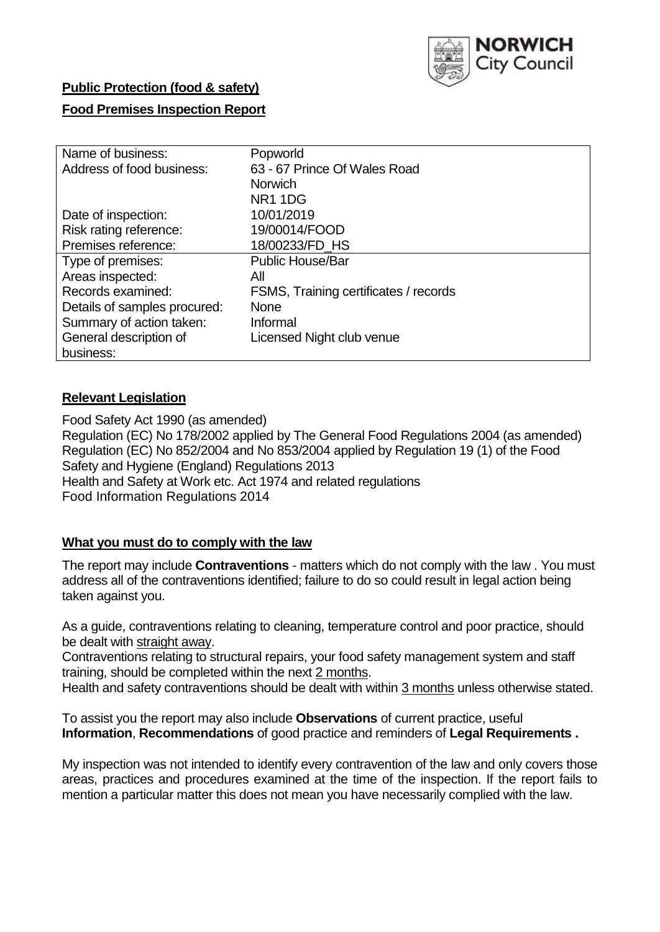

### **Public Protection (food & safety)**

### **Food Premises Inspection Report**

| Name of business:            | Popworld                              |
|------------------------------|---------------------------------------|
| Address of food business:    | 63 - 67 Prince Of Wales Road          |
|                              | <b>Norwich</b>                        |
|                              | <b>NR11DG</b>                         |
| Date of inspection:          | 10/01/2019                            |
| Risk rating reference:       | 19/00014/FOOD                         |
| Premises reference:          | 18/00233/FD_HS                        |
| Type of premises:            | <b>Public House/Bar</b>               |
| Areas inspected:             | All                                   |
| Records examined:            | FSMS, Training certificates / records |
| Details of samples procured: | <b>None</b>                           |
| Summary of action taken:     | Informal                              |
| General description of       | Licensed Night club venue             |
| business:                    |                                       |

### **Relevant Legislation**

Food Safety Act 1990 (as amended) Regulation (EC) No 178/2002 applied by The General Food Regulations 2004 (as amended) Regulation (EC) No 852/2004 and No 853/2004 applied by Regulation 19 (1) of the Food Safety and Hygiene (England) Regulations 2013 Health and Safety at Work etc. Act 1974 and related regulations Food Information Regulations 2014

### **What you must do to comply with the law**

The report may include **Contraventions** - matters which do not comply with the law . You must address all of the contraventions identified; failure to do so could result in legal action being taken against you.

As a guide, contraventions relating to cleaning, temperature control and poor practice, should be dealt with straight away.

Contraventions relating to structural repairs, your food safety management system and staff training, should be completed within the next 2 months.

Health and safety contraventions should be dealt with within 3 months unless otherwise stated.

To assist you the report may also include **Observations** of current practice, useful **Information**, **Recommendations** of good practice and reminders of **Legal Requirements .**

My inspection was not intended to identify every contravention of the law and only covers those areas, practices and procedures examined at the time of the inspection. If the report fails to mention a particular matter this does not mean you have necessarily complied with the law.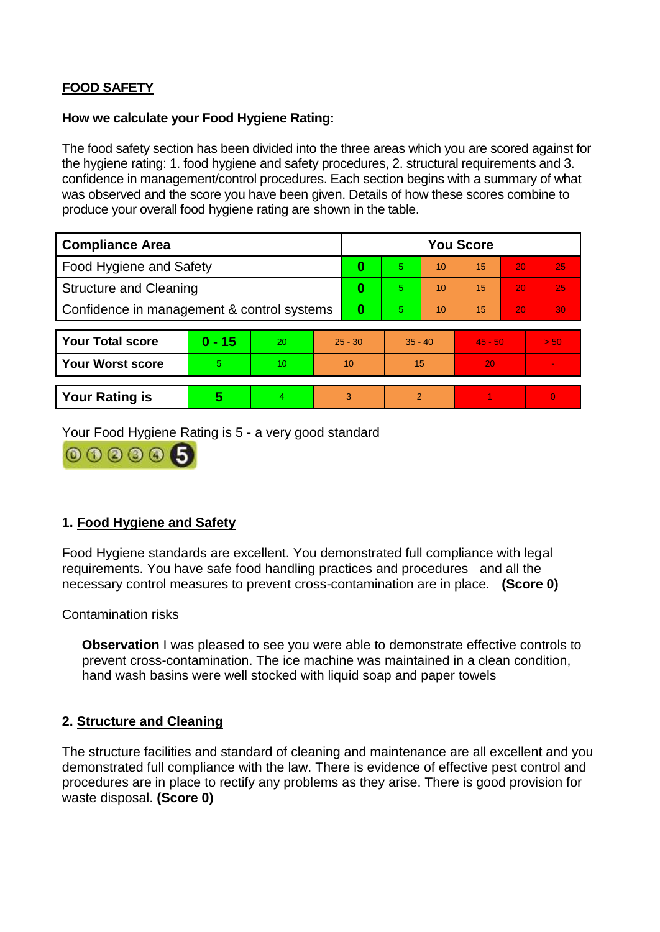# **FOOD SAFETY**

### **How we calculate your Food Hygiene Rating:**

The food safety section has been divided into the three areas which you are scored against for the hygiene rating: 1. food hygiene and safety procedures, 2. structural requirements and 3. confidence in management/control procedures. Each section begins with a summary of what was observed and the score you have been given. Details of how these scores combine to produce your overall food hygiene rating are shown in the table.

| <b>Compliance Area</b>                     |          |                  |           | <b>You Score</b> |                |    |           |    |                |  |  |
|--------------------------------------------|----------|------------------|-----------|------------------|----------------|----|-----------|----|----------------|--|--|
| Food Hygiene and Safety                    |          |                  |           | 0                | 5              | 10 | 15        | 20 | 25             |  |  |
| <b>Structure and Cleaning</b>              |          |                  | 0         | 5                | 10             | 15 | 20        | 25 |                |  |  |
| Confidence in management & control systems |          |                  | $\bf{0}$  | 5                | 10             | 15 | 20        | 30 |                |  |  |
|                                            |          |                  |           |                  |                |    |           |    |                |  |  |
| <b>Your Total score</b>                    | $0 - 15$ | 20               | $25 - 30$ |                  | $35 - 40$      |    | $45 - 50$ |    | > 50           |  |  |
| <b>Your Worst score</b>                    | 5        | 10 <sup>10</sup> | 10        |                  | 15             |    | 20        |    | $\blacksquare$ |  |  |
|                                            |          |                  |           |                  |                |    |           |    |                |  |  |
| <b>Your Rating is</b>                      | 5        | 4                |           | 3                | $\overline{2}$ |    |           |    | $\overline{0}$ |  |  |

Your Food Hygiene Rating is 5 - a very good standard



## **1. Food Hygiene and Safety**

Food Hygiene standards are excellent. You demonstrated full compliance with legal requirements. You have safe food handling practices and procedures and all the necessary control measures to prevent cross-contamination are in place. **(Score 0)**

#### Contamination risks

**Observation** I was pleased to see you were able to demonstrate effective controls to prevent cross-contamination. The ice machine was maintained in a clean condition, hand wash basins were well stocked with liquid soap and paper towels

### **2. Structure and Cleaning**

The structure facilities and standard of cleaning and maintenance are all excellent and you demonstrated full compliance with the law. There is evidence of effective pest control and procedures are in place to rectify any problems as they arise. There is good provision for waste disposal. **(Score 0)**